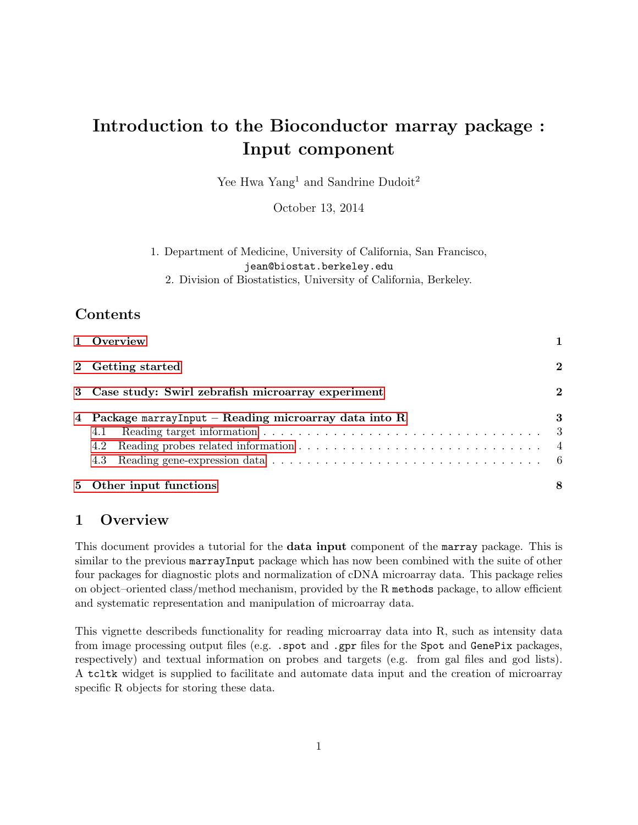# Introduction to the Bioconductor marray package : Input component

Yee Hwa Yang<sup>1</sup> and Sandrine Dudoit<sup>2</sup>

October 13, 2014

# 1. Department of Medicine, University of California, San Francisco, jean@biostat.berkeley.edu

2. Division of Biostatistics, University of California, Berkeley.

# Contents

| 1 Overview                                                                                                                                                                                 |          |  |  |
|--------------------------------------------------------------------------------------------------------------------------------------------------------------------------------------------|----------|--|--|
| 2 Getting started                                                                                                                                                                          | $\bf{2}$ |  |  |
| 3 Case study: Swirl zebrafish microarray experiment                                                                                                                                        | $\bf{2}$ |  |  |
| 4 Package marrayInput – Reading microarray data into R<br>4.1<br>4.2<br>Reading gene-expression data $\ldots \ldots \ldots \ldots \ldots \ldots \ldots \ldots \ldots \ldots \ldots$<br>4.3 | 3<br>- 3 |  |  |
| 5 Other input functions                                                                                                                                                                    | 8        |  |  |

### <span id="page-0-0"></span>1 Overview

This document provides a tutorial for the **data input** component of the marray package. This is similar to the previous marrayInput package which has now been combined with the suite of other four packages for diagnostic plots and normalization of cDNA microarray data. This package relies on object–oriented class/method mechanism, provided by the R methods package, to allow efficient and systematic representation and manipulation of microarray data.

This vignette describeds functionality for reading microarray data into R, such as intensity data from image processing output files (e.g. .spot and .gpr files for the Spot and GenePix packages, respectively) and textual information on probes and targets (e.g. from gal files and god lists). A tcltk widget is supplied to facilitate and automate data input and the creation of microarray specific R objects for storing these data.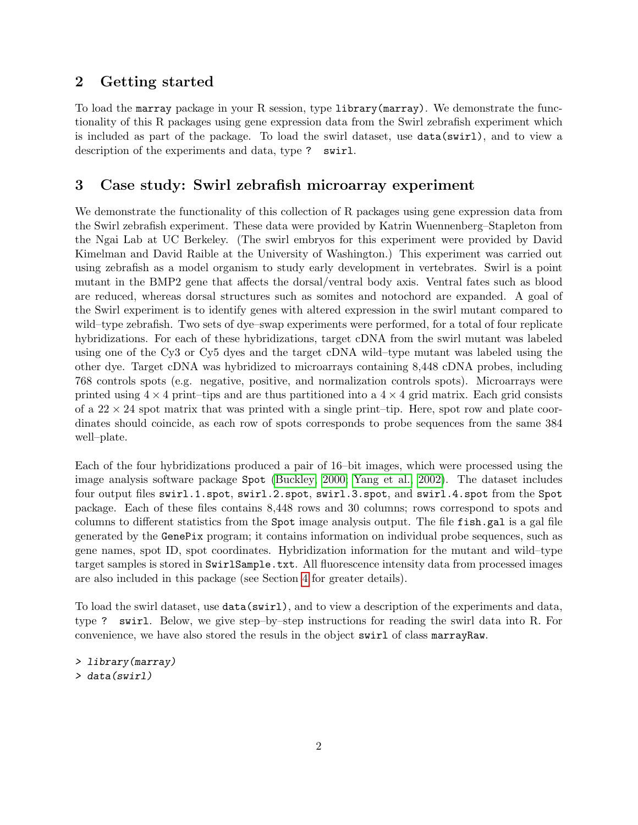# <span id="page-1-0"></span>2 Getting started

To load the marray package in your R session, type library(marray). We demonstrate the functionality of this R packages using gene expression data from the Swirl zebrafish experiment which is included as part of the package. To load the swirl dataset, use data(swirl), and to view a description of the experiments and data, type ? swirl.

## <span id="page-1-1"></span>3 Case study: Swirl zebrafish microarray experiment

We demonstrate the functionality of this collection of R packages using gene expression data from the Swirl zebrafish experiment. These data were provided by Katrin Wuennenberg–Stapleton from the Ngai Lab at UC Berkeley. (The swirl embryos for this experiment were provided by David Kimelman and David Raible at the University of Washington.) This experiment was carried out using zebrafish as a model organism to study early development in vertebrates. Swirl is a point mutant in the BMP2 gene that affects the dorsal/ventral body axis. Ventral fates such as blood are reduced, whereas dorsal structures such as somites and notochord are expanded. A goal of the Swirl experiment is to identify genes with altered expression in the swirl mutant compared to wild–type zebrafish. Two sets of dye–swap experiments were performed, for a total of four replicate hybridizations. For each of these hybridizations, target cDNA from the swirl mutant was labeled using one of the Cy3 or Cy5 dyes and the target cDNA wild–type mutant was labeled using the other dye. Target cDNA was hybridized to microarrays containing 8,448 cDNA probes, including 768 controls spots (e.g. negative, positive, and normalization controls spots). Microarrays were printed using  $4 \times 4$  print–tips and are thus partitioned into a  $4 \times 4$  grid matrix. Each grid consists of a  $22 \times 24$  spot matrix that was printed with a single print–tip. Here, spot row and plate coordinates should coincide, as each row of spots corresponds to probe sequences from the same 384 well–plate.

Each of the four hybridizations produced a pair of 16–bit images, which were processed using the image analysis software package Spot [\(Buckley, 2000;](#page-8-0) [Yang et al., 2002\)](#page-8-1). The dataset includes four output files swirl.1.spot, swirl.2.spot, swirl.3.spot, and swirl.4.spot from the Spot package. Each of these files contains 8,448 rows and 30 columns; rows correspond to spots and columns to different statistics from the Spot image analysis output. The file fish.gal is a gal file generated by the GenePix program; it contains information on individual probe sequences, such as gene names, spot ID, spot coordinates. Hybridization information for the mutant and wild–type target samples is stored in SwirlSample.txt. All fluorescence intensity data from processed images are also included in this package (see Section [4](#page-2-0) for greater details).

To load the swirl dataset, use data(swirl), and to view a description of the experiments and data, type ? swirl. Below, we give step–by–step instructions for reading the swirl data into R. For convenience, we have also stored the resuls in the object swirl of class marrayRaw.

```
> library(marray)
> data(swirl)
```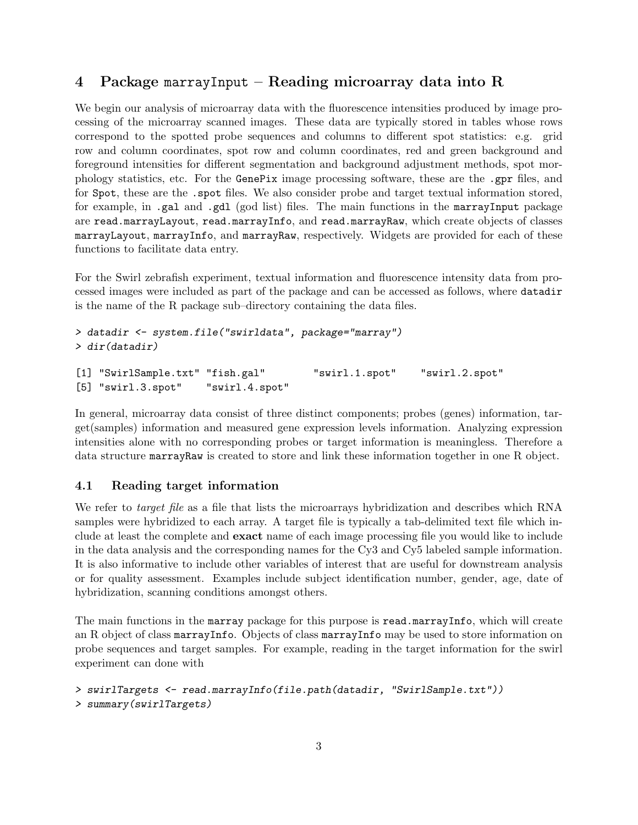# <span id="page-2-0"></span>4 Package marrayInput – Reading microarray data into R

We begin our analysis of microarray data with the fluorescence intensities produced by image processing of the microarray scanned images. These data are typically stored in tables whose rows correspond to the spotted probe sequences and columns to different spot statistics: e.g. grid row and column coordinates, spot row and column coordinates, red and green background and foreground intensities for different segmentation and background adjustment methods, spot morphology statistics, etc. For the GenePix image processing software, these are the .gpr files, and for Spot, these are the .spot files. We also consider probe and target textual information stored, for example, in .gal and .gdl (god list) files. The main functions in the marrayInput package are read.marrayLayout, read.marrayInfo, and read.marrayRaw, which create objects of classes marrayLayout, marrayInfo, and marrayRaw, respectively. Widgets are provided for each of these functions to facilitate data entry.

For the Swirl zebrafish experiment, textual information and fluorescence intensity data from processed images were included as part of the package and can be accessed as follows, where datadir is the name of the R package sub–directory containing the data files.

```
> datadir <- system.file("swirldata", package="marray")
> dir(datadir)
[1] "SwirlSample.txt" "fish.gal" "swirl.1.spot" "swirl.2.spot"
[5] "swirl.3.spot" "swirl.4.spot"
```
In general, microarray data consist of three distinct components; probes (genes) information, target(samples) information and measured gene expression levels information. Analyzing expression intensities alone with no corresponding probes or target information is meaningless. Therefore a data structure marrayRaw is created to store and link these information together in one R object.

### <span id="page-2-1"></span>4.1 Reading target information

We refer to *target file* as a file that lists the microarrays hybridization and describes which RNA samples were hybridized to each array. A target file is typically a tab-delimited text file which include at least the complete and exact name of each image processing file you would like to include in the data analysis and the corresponding names for the Cy3 and Cy5 labeled sample information. It is also informative to include other variables of interest that are useful for downstream analysis or for quality assessment. Examples include subject identification number, gender, age, date of hybridization, scanning conditions amongst others.

The main functions in the marray package for this purpose is read.marrayInfo, which will create an R object of class marrayInfo. Objects of class marrayInfo may be used to store information on probe sequences and target samples. For example, reading in the target information for the swirl experiment can done with

```
> swirlTargets <- read.marrayInfo(file.path(datadir, "SwirlSample.txt"))
> summary(swirlTargets)
```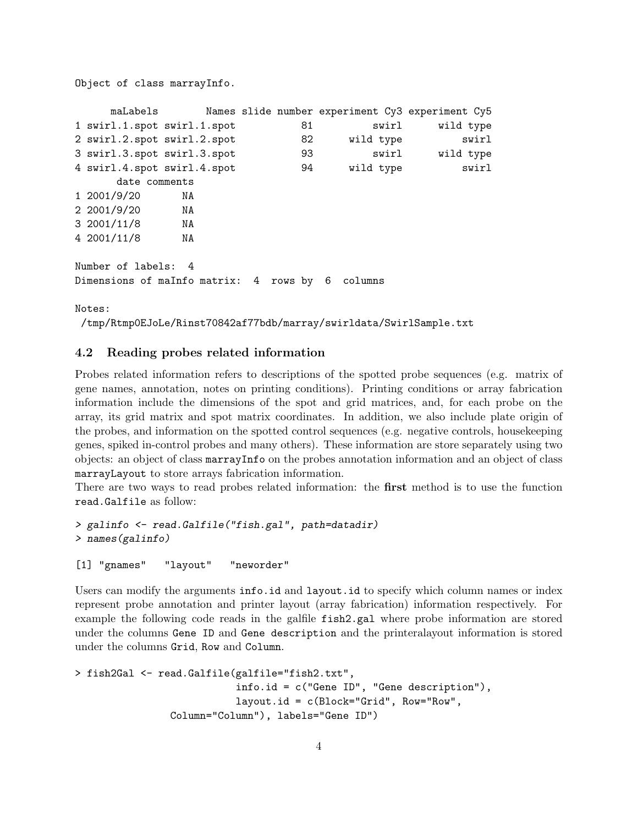Object of class marrayInfo.

```
maLabels Names slide number experiment Cy3 experiment Cy5
1 swirl.1.spot swirl.1.spot 61 b swirl wild type
2 swirl.2.spot swirl.2.spot 82 wild type swirl
3 swirl.3.spot swirl.3.spot 93 swirl wild type
4 swirl.4.spot swirl.4.spot 94 wild type swirl
     date comments
1 2001/9/20 NA
2 2001/9/20 NA
3 2001/11/8 NA
4 2001/11/8 NA
Number of labels: 4
Dimensions of maInfo matrix: 4 rows by 6 columns
```
Notes:

```
/tmp/Rtmp0EJoLe/Rinst70842af77bdb/marray/swirldata/SwirlSample.txt
```
### <span id="page-3-0"></span>4.2 Reading probes related information

Probes related information refers to descriptions of the spotted probe sequences (e.g. matrix of gene names, annotation, notes on printing conditions). Printing conditions or array fabrication information include the dimensions of the spot and grid matrices, and, for each probe on the array, its grid matrix and spot matrix coordinates. In addition, we also include plate origin of the probes, and information on the spotted control sequences (e.g. negative controls, housekeeping genes, spiked in-control probes and many others). These information are store separately using two objects: an object of class marrayInfo on the probes annotation information and an object of class marrayLayout to store arrays fabrication information.

There are two ways to read probes related information: the first method is to use the function read.Galfile as follow:

```
> galinfo <- read.Galfile("fish.gal", path=datadir)
> names(galinfo)
```

```
[1] "gnames" "layout" "neworder"
```
Users can modify the arguments info.id and layout.id to specify which column names or index represent probe annotation and printer layout (array fabrication) information respectively. For example the following code reads in the galfile fish2.gal where probe information are stored under the columns Gene ID and Gene description and the printeralayout information is stored under the columns Grid, Row and Column.

```
> fish2Gal <- read.Galfile(galfile="fish2.txt",
                           info.id = c("Gene ID", "Gene description"),
                           layout.id = c(Block="Grid", Row="Row",
                Column="Column"), labels="Gene ID")
```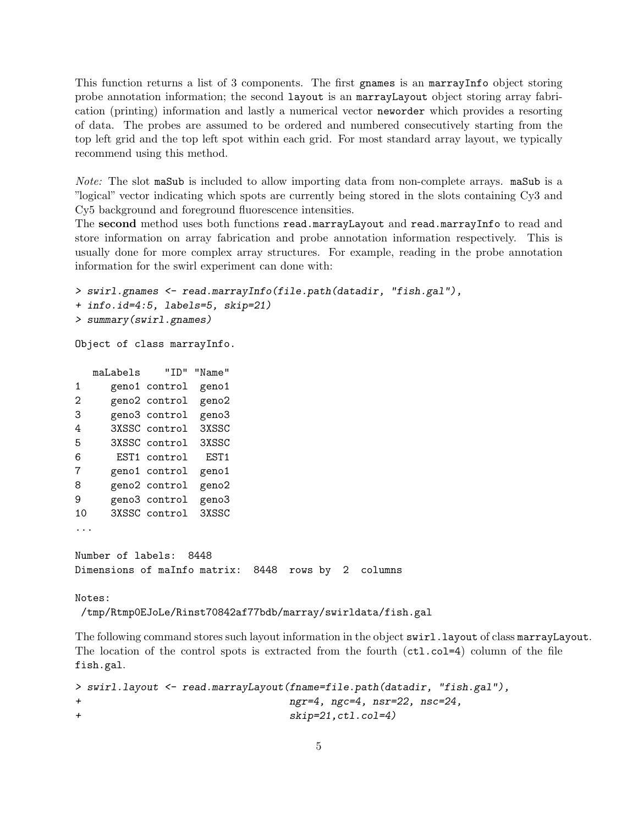This function returns a list of 3 components. The first gnames is an marrayInfo object storing probe annotation information; the second layout is an marrayLayout object storing array fabrication (printing) information and lastly a numerical vector neworder which provides a resorting of data. The probes are assumed to be ordered and numbered consecutively starting from the top left grid and the top left spot within each grid. For most standard array layout, we typically recommend using this method.

Note: The slot maSub is included to allow importing data from non-complete arrays. maSub is a "logical" vector indicating which spots are currently being stored in the slots containing Cy3 and Cy5 background and foreground fluorescence intensities.

The second method uses both functions read.marrayLayout and read.marrayInfo to read and store information on array fabrication and probe annotation information respectively. This is usually done for more complex array structures. For example, reading in the probe annotation information for the swirl experiment can done with:

```
> swirl.gnames <- read.marrayInfo(file.path(datadir, "fish.gal"),
+ info.id=4:5, labels=5, skip=21)
> summary(swirl.gnames)
```
Object of class marrayInfo.

maLabels "ID" "Name" 1 geno1 control geno1 2 geno2 control geno2 3 geno3 control geno3 4 3XSSC control 3XSSC 5 3XSSC control 3XSSC 6 EST1 control EST1 7 geno1 control geno1 8 geno2 control geno2 9 geno3 control geno3 10 3XSSC control 3XSSC ... Number of labels: 8448 Dimensions of maInfo matrix: 8448 rows by 2 columns

Notes:

/tmp/Rtmp0EJoLe/Rinst70842af77bdb/marray/swirldata/fish.gal

The following command stores such layout information in the object swirl.layout of class marrayLayout. The location of the control spots is extracted from the fourth  $(ct1.c01=4)$  column of the file fish.gal.

```
> swirl.layout <- read.marrayLayout(fname=file.path(datadir, "fish.gal"),
+ ngr=4, ngc=4, nsr=22, nsc=24,
+ skip=21,ctl.col=4)
```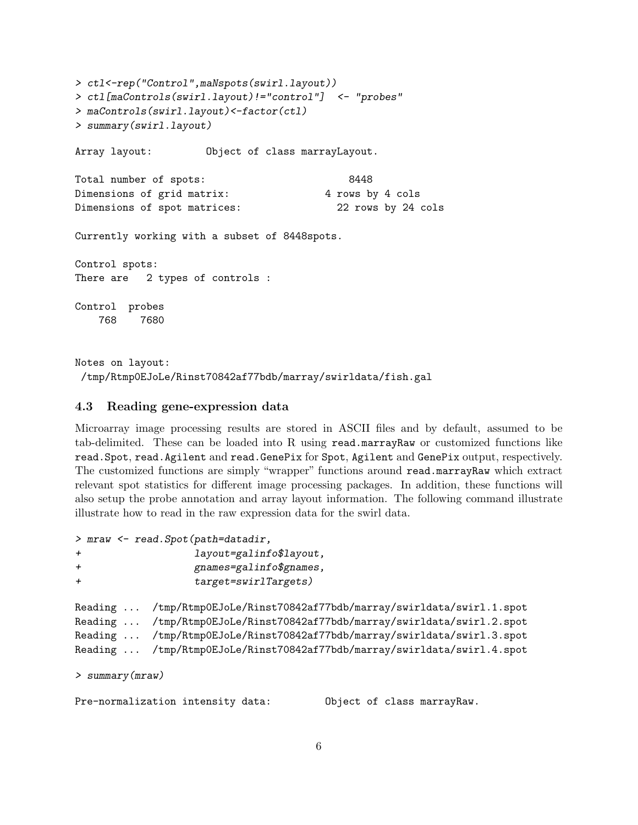```
> ctl<-rep("Control",maNspots(swirl.layout))
> ctl[maControls(swirl.layout)!="control"] <- "probes"
> maControls(swirl.layout)<-factor(ctl)
> summary(swirl.layout)
Array layout: Object of class marrayLayout.
Total number of spots: 8448
Dimensions of grid matrix: 4 rows by 4 cols
Dimensions of spot matrices: 22 rows by 24 cols
Currently working with a subset of 8448spots.
Control spots:
There are 2 types of controls :
Control probes
   768 7680
```
Notes on layout: /tmp/Rtmp0EJoLe/Rinst70842af77bdb/marray/swirldata/fish.gal

#### <span id="page-5-0"></span>4.3 Reading gene-expression data

Microarray image processing results are stored in ASCII files and by default, assumed to be tab-delimited. These can be loaded into R using read.marrayRaw or customized functions like read.Spot, read.Agilent and read.GenePix for Spot, Agilent and GenePix output, respectively. The customized functions are simply "wrapper" functions around read.marrayRaw which extract relevant spot statistics for different image processing packages. In addition, these functions will also setup the probe annotation and array layout information. The following command illustrate illustrate how to read in the raw expression data for the swirl data.

```
> mraw <- read.Spot(path=datadir,
+ layout=galinfo$layout,
+ gnames=galinfo$gnames,
+ target=swirlTargets)
Reading ... /tmp/Rtmp0EJoLe/Rinst70842af77bdb/marray/swirldata/swirl.1.spot
Reading ... /tmp/Rtmp0EJoLe/Rinst70842af77bdb/marray/swirldata/swirl.2.spot
Reading ... /tmp/Rtmp0EJoLe/Rinst70842af77bdb/marray/swirldata/swirl.3.spot
Reading ... /tmp/Rtmp0EJoLe/Rinst70842af77bdb/marray/swirldata/swirl.4.spot
> summary(mraw)
Pre-normalization intensity data: Object of class marrayRaw.
```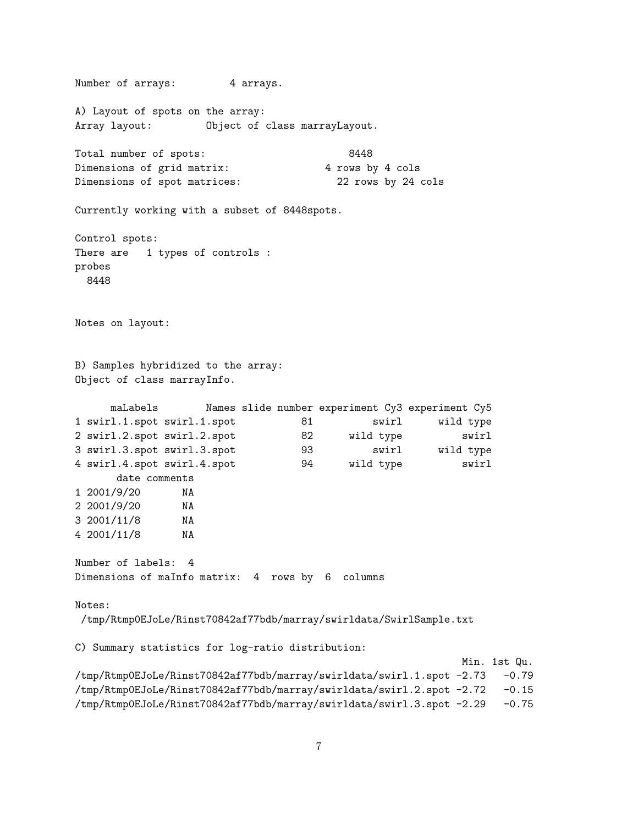Number of arrays: 4 arrays. A) Layout of spots on the array: Array layout: Object of class marrayLayout. Total number of spots: 8448 Dimensions of grid matrix: 4 rows by 4 cols Dimensions of spot matrices: 22 rows by 24 cols Currently working with a subset of 8448spots. Control spots: There are 1 types of controls : probes 8448 Notes on layout: B) Samples hybridized to the array: Object of class marrayInfo. maLabels Names slide number experiment Cy3 experiment Cy5 1 swirl.1.spot swirl.1.spot 81 swirl wild type 2 swirl.2.spot swirl.2.spot 82 wild type swirl 3 swirl.3.spot swirl.3.spot 93 swirl wild type 4 swirl.4.spot swirl.4.spot 94 wild type swirl date comments 1 2001/9/20 NA 2 2001/9/20 NA 3 2001/11/8 NA 4 2001/11/8 NA Number of labels: 4 Dimensions of maInfo matrix: 4 rows by 6 columns Notes: /tmp/Rtmp0EJoLe/Rinst70842af77bdb/marray/swirldata/SwirlSample.txt C) Summary statistics for log-ratio distribution: Min. 1st Qu. /tmp/Rtmp0EJoLe/Rinst70842af77bdb/marray/swirldata/swirl.1.spot -2.73 -0.79 /tmp/Rtmp0EJoLe/Rinst70842af77bdb/marray/swirldata/swirl.2.spot -2.72 -0.15 /tmp/Rtmp0EJoLe/Rinst70842af77bdb/marray/swirldata/swirl.3.spot -2.29 -0.75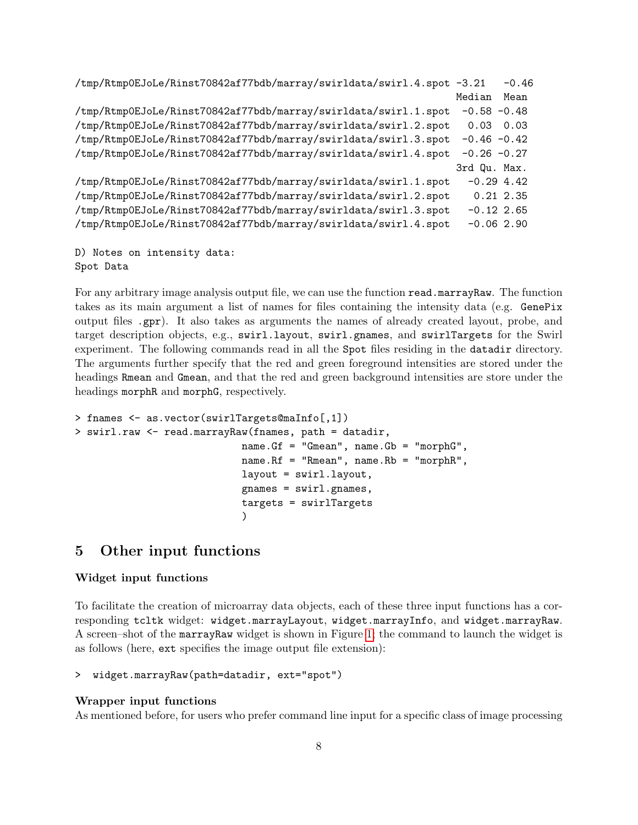```
/tmp/Rtmp0EJoLe/Rinst70842af77bdb/marray/swirldata/swirl.4.spot -3.21 -0.46
                                                               Median Mean
/tmp/Rtmp0EJoLe/Rinst70842af77bdb/marray/swirldata/swirl.1.spot -0.58 -0.48
/tmp/Rtmp0EJoLe/Rinst70842af77bdb/marray/swirldata/swirl.2.spot 0.03 0.03
/tmp/Rtmp0EJoLe/Rinst70842af77bdb/marray/swirldata/swirl.3.spot -0.46 -0.42
/tmp/Rtmp0EJoLe/Rinst70842af77bdb/marray/swirldata/swirl.4.spot -0.26 -0.27
                                                               3rd Qu. Max.
/tmp/Rtmp0EJoLe/Rinst70842af77bdb/marray/swirldata/swirl.1.spot -0.29 4.42
/tmp/Rtmp0EJoLe/Rinst70842af77bdb/marray/swirldata/swirl.2.spot 0.21 2.35
/tmp/Rtmp0EJoLe/Rinst70842af77bdb/marray/swirldata/swirl.3.spot -0.12 2.65
/tmp/Rtmp0EJoLe/Rinst70842af77bdb/marray/swirldata/swirl.4.spot -0.06 2.90
```

```
D) Notes on intensity data:
Spot Data
```
For any arbitrary image analysis output file, we can use the function read.marrayRaw. The function takes as its main argument a list of names for files containing the intensity data (e.g. GenePix output files .gpr). It also takes as arguments the names of already created layout, probe, and target description objects, e.g., swirl.layout, swirl.gnames, and swirlTargets for the Swirl experiment. The following commands read in all the Spot files residing in the datadir directory. The arguments further specify that the red and green foreground intensities are stored under the headings Rmean and Gmean, and that the red and green background intensities are store under the headings morphR and morphG, respectively.

```
> fnames <- as.vector(swirlTargets@maInfo[,1])
> swirl.raw <- read.marrayRaw(fnames, path = datadir,
                            name.Gf = "Gmean", name.Gb = "morphG",
                            name.Rf = "Rmean", name.Rb = "morphR",
                            layout = swirl.layout,
                            gnames = swirl.gnames,
                            targets = swirlTargets
                             )
```
### <span id="page-7-0"></span>5 Other input functions

#### Widget input functions

To facilitate the creation of microarray data objects, each of these three input functions has a corresponding tcltk widget: widget.marrayLayout, widget.marrayInfo, and widget.marrayRaw. A screen–shot of the marrayRaw widget is shown in Figure [1;](#page-9-0) the command to launch the widget is as follows (here, ext specifies the image output file extension):

```
> widget.marrayRaw(path=datadir, ext="spot")
```
#### Wrapper input functions

As mentioned before, for users who prefer command line input for a specific class of image processing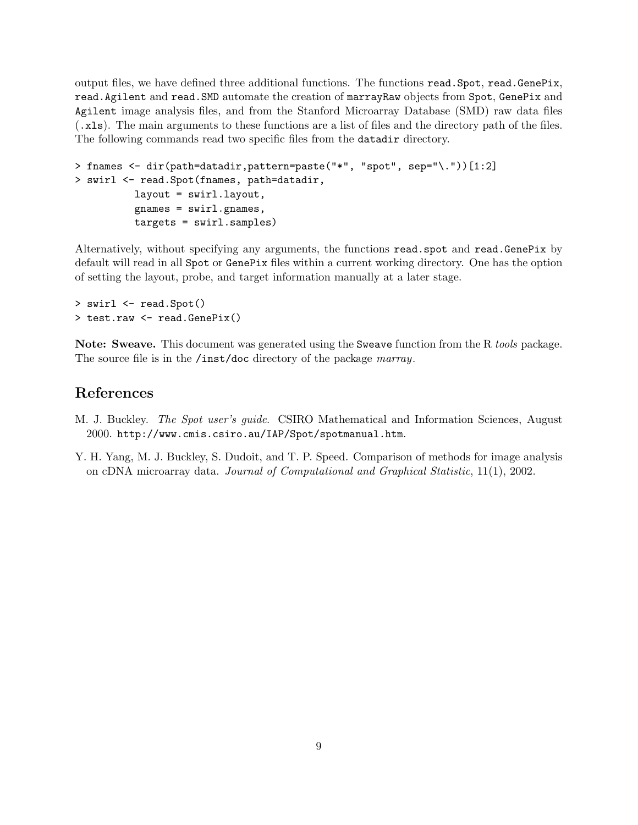output files, we have defined three additional functions. The functions read.Spot, read.GenePix, read.Agilent and read.SMD automate the creation of marrayRaw objects from Spot, GenePix and Agilent image analysis files, and from the Stanford Microarray Database (SMD) raw data files (.xls). The main arguments to these functions are a list of files and the directory path of the files. The following commands read two specific files from the datadir directory.

```
> fnames <- dir(path=datadir,pattern=paste("*", "spot", sep="\."))[1:2]
> swirl <- read.Spot(fnames, path=datadir,
          layout = swirl.layout,
          gnames = swirl.gnames,
          targets = swirl.samples)
```
Alternatively, without specifying any arguments, the functions read.spot and read.GenePix by default will read in all Spot or GenePix files within a current working directory. One has the option of setting the layout, probe, and target information manually at a later stage.

```
> swirl <- read.Spot()
> test.raw <- read.GenePix()
```
Note: Sweave. This document was generated using the Sweave function from the R *tools* package. The source file is in the /inst/doc directory of the package marray.

### References

- <span id="page-8-0"></span>M. J. Buckley. The Spot user's guide. CSIRO Mathematical and Information Sciences, August 2000. http://www.cmis.csiro.au/IAP/Spot/spotmanual.htm.
- <span id="page-8-1"></span>Y. H. Yang, M. J. Buckley, S. Dudoit, and T. P. Speed. Comparison of methods for image analysis on cDNA microarray data. Journal of Computational and Graphical Statistic, 11(1), 2002.